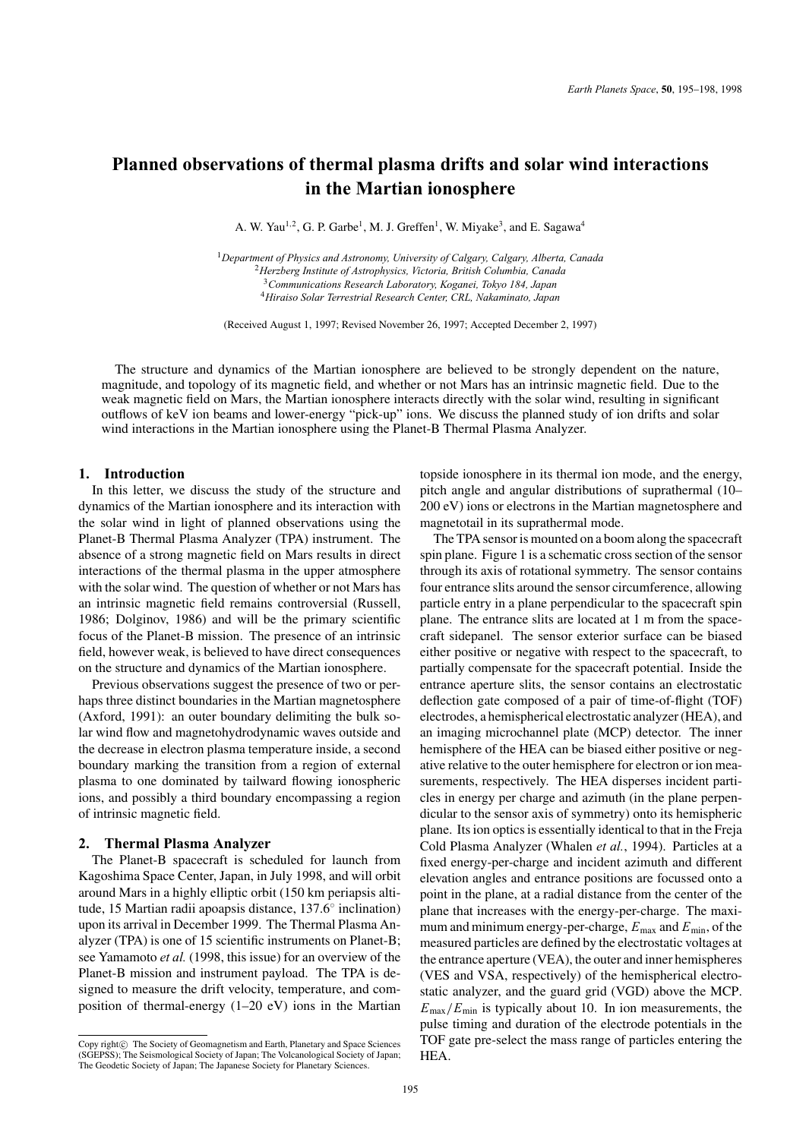# **Planned observations of thermal plasma drifts and solar wind interactions in the Martian ionosphere**

A. W. Yau<sup>1,2</sup>, G. P. Garbe<sup>1</sup>, M. J. Greffen<sup>1</sup>, W. Miyake<sup>3</sup>, and E. Sagawa<sup>4</sup>

*Department of Physics and Astronomy, University of Calgary, Calgary, Alberta, Canada Herzberg Institute of Astrophysics, Victoria, British Columbia, Canada Communications Research Laboratory, Koganei, Tokyo 184, Japan Hiraiso Solar Terrestrial Research Center, CRL, Nakaminato, Japan*

(Received August 1, 1997; Revised November 26, 1997; Accepted December 2, 1997)

The structure and dynamics of the Martian ionosphere are believed to be strongly dependent on the nature, magnitude, and topology of its magnetic field, and whether or not Mars has an intrinsic magnetic field. Due to the weak magnetic field on Mars, the Martian ionosphere interacts directly with the solar wind, resulting in significant outflows of keV ion beams and lower-energy "pick-up" ions. We discuss the planned study of ion drifts and solar wind interactions in the Martian ionosphere using the Planet-B Thermal Plasma Analyzer.

## **1. Introduction**

In this letter, we discuss the study of the structure and dynamics of the Martian ionosphere and its interaction with the solar wind in light of planned observations using the Planet-B Thermal Plasma Analyzer (TPA) instrument. The absence of a strong magnetic field on Mars results in direct interactions of the thermal plasma in the upper atmosphere with the solar wind. The question of whether or not Mars has an intrinsic magnetic field remains controversial (Russell, 1986; Dolginov, 1986) and will be the primary scientific focus of the Planet-B mission. The presence of an intrinsic field, however weak, is believed to have direct consequences on the structure and dynamics of the Martian ionosphere.

Previous observations suggest the presence of two or perhaps three distinct boundaries in the Martian magnetosphere (Axford, 1991): an outer boundary delimiting the bulk solar wind flow and magnetohydrodynamic waves outside and the decrease in electron plasma temperature inside, a second boundary marking the transition from a region of external plasma to one dominated by tailward flowing ionospheric ions, and possibly a third boundary encompassing a region of intrinsic magnetic field.

#### **2. Thermal Plasma Analyzer**

The Planet-B spacecraft is scheduled for launch from Kagoshima Space Center, Japan, in July 1998, and will orbit around Mars in a highly elliptic orbit (150 km periapsis altitude, 15 Martian radii apoapsis distance, 137.6◦ inclination) upon its arrival in December 1999. The Thermal Plasma Analyzer (TPA) is one of 15 scientific instruments on Planet-B; see Yamamoto *et al.* (1998, this issue) for an overview of the Planet-B mission and instrument payload. The TPA is designed to measure the drift velocity, temperature, and composition of thermal-energy (1–20 eV) ions in the Martian

topside ionosphere in its thermal ion mode, and the energy, pitch angle and angular distributions of suprathermal (10– 200 eV) ions or electrons in the Martian magnetosphere and magnetotail in its suprathermal mode.

The TPA sensor is mounted on a boom along the spacecraft spin plane. Figure 1 is a schematic cross section of the sensor through its axis of rotational symmetry. The sensor contains four entrance slits around the sensor circumference, allowing particle entry in a plane perpendicular to the spacecraft spin plane. The entrance slits are located at 1 m from the spacecraft sidepanel. The sensor exterior surface can be biased either positive or negative with respect to the spacecraft, to partially compensate for the spacecraft potential. Inside the entrance aperture slits, the sensor contains an electrostatic deflection gate composed of a pair of time-of-flight (TOF) electrodes, a hemispherical electrostatic analyzer (HEA), and an imaging microchannel plate (MCP) detector. The inner hemisphere of the HEA can be biased either positive or negative relative to the outer hemisphere for electron or ion measurements, respectively. The HEA disperses incident particles in energy per charge and azimuth (in the plane perpendicular to the sensor axis of symmetry) onto its hemispheric plane. Its ion optics is essentially identical to that in the Freja Cold Plasma Analyzer (Whalen *et al.*, 1994). Particles at a fixed energy-per-charge and incident azimuth and different elevation angles and entrance positions are focussed onto a point in the plane, at a radial distance from the center of the plane that increases with the energy-per-charge. The maximum and minimum energy-per-charge,  $E_{\text{max}}$  and  $E_{\text{min}}$ , of the measured particles are defined by the electrostatic voltages at the entrance aperture (VEA), the outer and inner hemispheres (VES and VSA, respectively) of the hemispherical electrostatic analyzer, and the guard grid (VGD) above the MCP.  $E_{\text{max}}/E_{\text{min}}$  is typically about 10. In ion measurements, the pulse timing and duration of the electrode potentials in the TOF gate pre-select the mass range of particles entering the HEA.

Copy right $\odot$  The Society of Geomagnetism and Earth, Planetary and Space Sciences (SGEPSS); The Seismological Society of Japan; The Volcanological Society of Japan; The Geodetic Society of Japan; The Japanese Society for Planetary Sciences.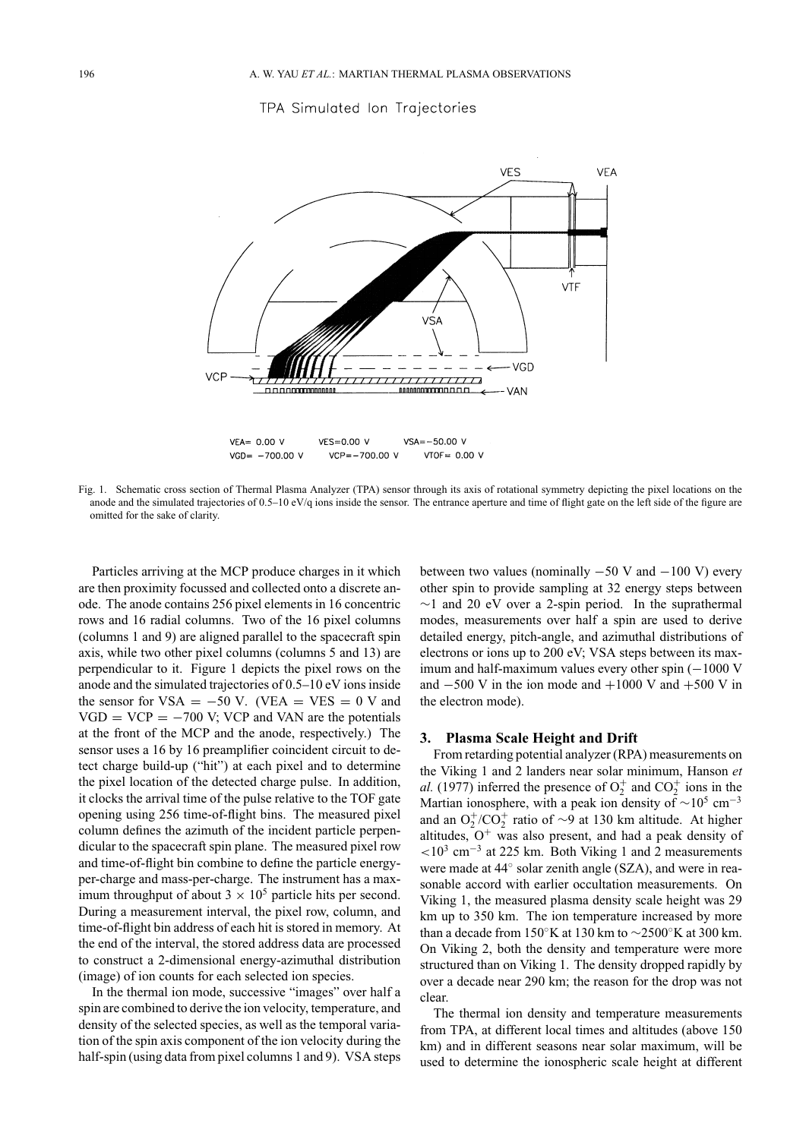



Fig. 1. Schematic cross section of Thermal Plasma Analyzer (TPA) sensor through its axis of rotational symmetry depicting the pixel locations on the anode and the simulated trajectories of  $0.5-10 \text{ eV/q}$  ions inside the sensor. The entrance aperture and time of flight gate on the left side of the figure are omitted for the sake of clarity.

Particles arriving at the MCP produce charges in it which are then proximity focussed and collected onto a discrete anode. The anode contains 256 pixel elements in 16 concentric rows and 16 radial columns. Two of the 16 pixel columns (columns 1 and 9) are aligned parallel to the spacecraft spin axis, while two other pixel columns (columns 5 and 13) are perpendicular to it. Figure 1 depicts the pixel rows on the anode and the simulated trajectories of 0.5–10 eV ions inside the sensor for VSA =  $-50$  V. (VEA = VES = 0 V and  $VGD = VCP = -700$  V; VCP and VAN are the potentials at the front of the MCP and the anode, respectively.) The sensor uses a 16 by 16 preamplifier coincident circuit to detect charge build-up ("hit") at each pixel and to determine the pixel location of the detected charge pulse. In addition, it clocks the arrival time of the pulse relative to the TOF gate opening using 256 time-of-flight bins. The measured pixel column defines the azimuth of the incident particle perpendicular to the spacecraft spin plane. The measured pixel row and time-of-flight bin combine to define the particle energyper-charge and mass-per-charge. The instrument has a maximum throughput of about  $3 \times 10^5$  particle hits per second. During a measurement interval, the pixel row, column, and time-of-flight bin address of each hit is stored in memory. At the end of the interval, the stored address data are processed to construct a 2-dimensional energy-azimuthal distribution (image) of ion counts for each selected ion species.

In the thermal ion mode, successive "images" over half a spin are combined to derive the ion velocity, temperature, and density of the selected species, as well as the temporal variation of the spin axis component of the ion velocity during the half-spin (using data from pixel columns 1 and 9). VSA steps

between two values (nominally  $-50$  V and  $-100$  V) every other spin to provide sampling at 32 energy steps between  $\sim$ 1 and 20 eV over a 2-spin period. In the suprathermal modes, measurements over half a spin are used to derive detailed energy, pitch-angle, and azimuthal distributions of electrons or ions up to 200 eV; VSA steps between its maximum and half-maximum values every other spin  $(-1000 \text{ V})$ and  $-500$  V in the ion mode and  $+1000$  V and  $+500$  V in the electron mode).

#### **3. Plasma Scale Height and Drift**

From retarding potential analyzer (RPA) measurements on the Viking 1 and 2 landers near solar minimum, Hanson *et al.* (1977) inferred the presence of  $O_2^+$  and  $CO_2^+$  ions in the Martian ionosphere, with a peak ion density of  $\sim 10^5$  cm<sup>-3</sup> and an  $O_2^{\dagger}/CO_2^{\dagger}$  ratio of ~9 at 130 km altitude. At higher altitudes,  $O<sup>+</sup>$  was also present, and had a peak density of  $<$ 10<sup>3</sup> cm<sup>-3</sup> at 225 km. Both Viking 1 and 2 measurements were made at 44◦ solar zenith angle (SZA), and were in reasonable accord with earlier occultation measurements. On Viking 1, the measured plasma density scale height was 29 km up to 350 km. The ion temperature increased by more than a decade from 150°K at 130 km to  $\sim$ 2500°K at 300 km. On Viking 2, both the density and temperature were more structured than on Viking 1. The density dropped rapidly by over a decade near 290 km; the reason for the drop was not clear.

The thermal ion density and temperature measurements from TPA, at different local times and altitudes (above 150 km) and in different seasons near solar maximum, will be used to determine the ionospheric scale height at different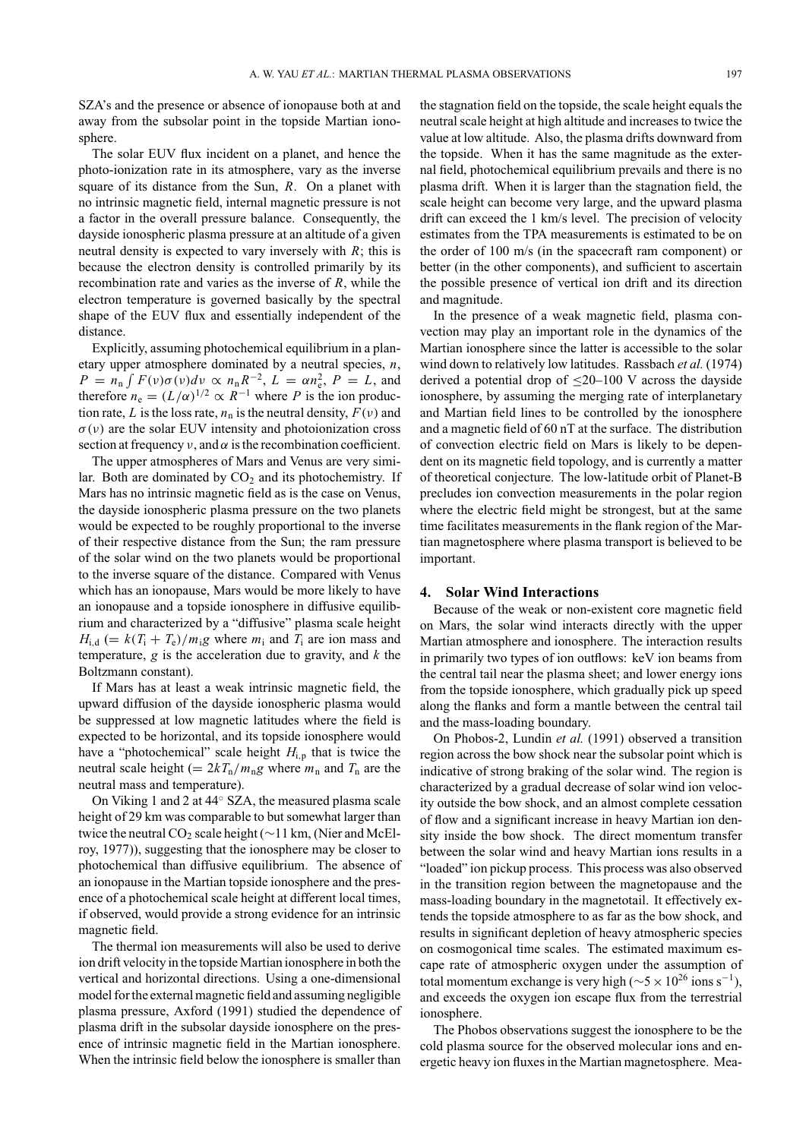SZA's and the presence or absence of ionopause both at and away from the subsolar point in the topside Martian ionosphere.

The solar EUV flux incident on a planet, and hence the photo-ionization rate in its atmosphere, vary as the inverse square of its distance from the Sun, *R*. On a planet with no intrinsic magnetic field, internal magnetic pressure is not a factor in the overall pressure balance. Consequently, the dayside ionospheric plasma pressure at an altitude of a given neutral density is expected to vary inversely with *R*; this is because the electron density is controlled primarily by its recombination rate and varies as the inverse of *R*, while the electron temperature is governed basically by the spectral shape of the EUV flux and essentially independent of the distance.

Explicitly, assuming photochemical equilibrium in a planetary upper atmosphere dominated by a neutral species, *n*,  $P = n_{\rm n} \int F(v) \sigma(v) dv \propto n_{\rm n} R^{-2}$ ,  $L = \alpha n_{\rm e}^2$ ,  $P = L$ , and therefore  $n_e = (L/\alpha)^{1/2} \propto R^{-1}$  where *P* is the ion production rate, *L* is the loss rate,  $n_n$  is the neutral density,  $F(v)$  and  $\sigma(v)$  are the solar EUV intensity and photoionization cross section at frequency  $\nu$ , and  $\alpha$  is the recombination coefficient.

The upper atmospheres of Mars and Venus are very similar. Both are dominated by  $CO<sub>2</sub>$  and its photochemistry. If Mars has no intrinsic magnetic field as is the case on Venus, the dayside ionospheric plasma pressure on the two planets would be expected to be roughly proportional to the inverse of their respective distance from the Sun; the ram pressure of the solar wind on the two planets would be proportional to the inverse square of the distance. Compared with Venus which has an ionopause, Mars would be more likely to have an ionopause and a topside ionosphere in diffusive equilibrium and characterized by a "diffusive" plasma scale height  $H_{i,d}$  (=  $k(T_i + T_e)/m_i g$  where  $m_i$  and  $T_i$  are ion mass and temperature, *g* is the acceleration due to gravity, and *k* the Boltzmann constant).

If Mars has at least a weak intrinsic magnetic field, the upward diffusion of the dayside ionospheric plasma would be suppressed at low magnetic latitudes where the field is expected to be horizontal, and its topside ionosphere would have a "photochemical" scale height  $H_{i,p}$  that is twice the neutral scale height (=  $2kT_n/m_ng$  where  $m_n$  and  $T_n$  are the neutral mass and temperature).

On Viking 1 and 2 at 44◦ SZA, the measured plasma scale height of 29 km was comparable to but somewhat larger than twice the neutral CO2 scale height (∼11 km, (Nier and McElroy, 1977)), suggesting that the ionosphere may be closer to photochemical than diffusive equilibrium. The absence of an ionopause in the Martian topside ionosphere and the presence of a photochemical scale height at different local times, if observed, would provide a strong evidence for an intrinsic magnetic field.

The thermal ion measurements will also be used to derive ion drift velocity in the topside Martian ionosphere in both the vertical and horizontal directions. Using a one-dimensional model for the external magnetic field and assuming negligible plasma pressure, Axford (1991) studied the dependence of plasma drift in the subsolar dayside ionosphere on the presence of intrinsic magnetic field in the Martian ionosphere. When the intrinsic field below the ionosphere is smaller than

the stagnation field on the topside, the scale height equals the neutral scale height at high altitude and increases to twice the value at low altitude. Also, the plasma drifts downward from the topside. When it has the same magnitude as the external field, photochemical equilibrium prevails and there is no plasma drift. When it is larger than the stagnation field, the scale height can become very large, and the upward plasma drift can exceed the 1 km/s level. The precision of velocity estimates from the TPA measurements is estimated to be on the order of 100 m/s (in the spacecraft ram component) or better (in the other components), and sufficient to ascertain the possible presence of vertical ion drift and its direction and magnitude.

In the presence of a weak magnetic field, plasma convection may play an important role in the dynamics of the Martian ionosphere since the latter is accessible to the solar wind down to relatively low latitudes. Rassbach *et al.* (1974) derived a potential drop of ≤20–100 V across the dayside ionosphere, by assuming the merging rate of interplanetary and Martian field lines to be controlled by the ionosphere and a magnetic field of 60 nT at the surface. The distribution of convection electric field on Mars is likely to be dependent on its magnetic field topology, and is currently a matter of theoretical conjecture. The low-latitude orbit of Planet-B precludes ion convection measurements in the polar region where the electric field might be strongest, but at the same time facilitates measurements in the flank region of the Martian magnetosphere where plasma transport is believed to be important.

### **4. Solar Wind Interactions**

Because of the weak or non-existent core magnetic field on Mars, the solar wind interacts directly with the upper Martian atmosphere and ionosphere. The interaction results in primarily two types of ion outflows: keV ion beams from the central tail near the plasma sheet; and lower energy ions from the topside ionosphere, which gradually pick up speed along the flanks and form a mantle between the central tail and the mass-loading boundary.

On Phobos-2, Lundin *et al.* (1991) observed a transition region across the bow shock near the subsolar point which is indicative of strong braking of the solar wind. The region is characterized by a gradual decrease of solar wind ion velocity outside the bow shock, and an almost complete cessation of flow and a significant increase in heavy Martian ion density inside the bow shock. The direct momentum transfer between the solar wind and heavy Martian ions results in a "loaded" ion pickup process. This process was also observed in the transition region between the magnetopause and the mass-loading boundary in the magnetotail. It effectively extends the topside atmosphere to as far as the bow shock, and results in significant depletion of heavy atmospheric species on cosmogonical time scales. The estimated maximum escape rate of atmospheric oxygen under the assumption of total momentum exchange is very high ( $\sim$ 5 × 10<sup>26</sup> ions s<sup>-1</sup>), and exceeds the oxygen ion escape flux from the terrestrial ionosphere.

The Phobos observations suggest the ionosphere to be the cold plasma source for the observed molecular ions and energetic heavy ion fluxes in the Martian magnetosphere. Mea